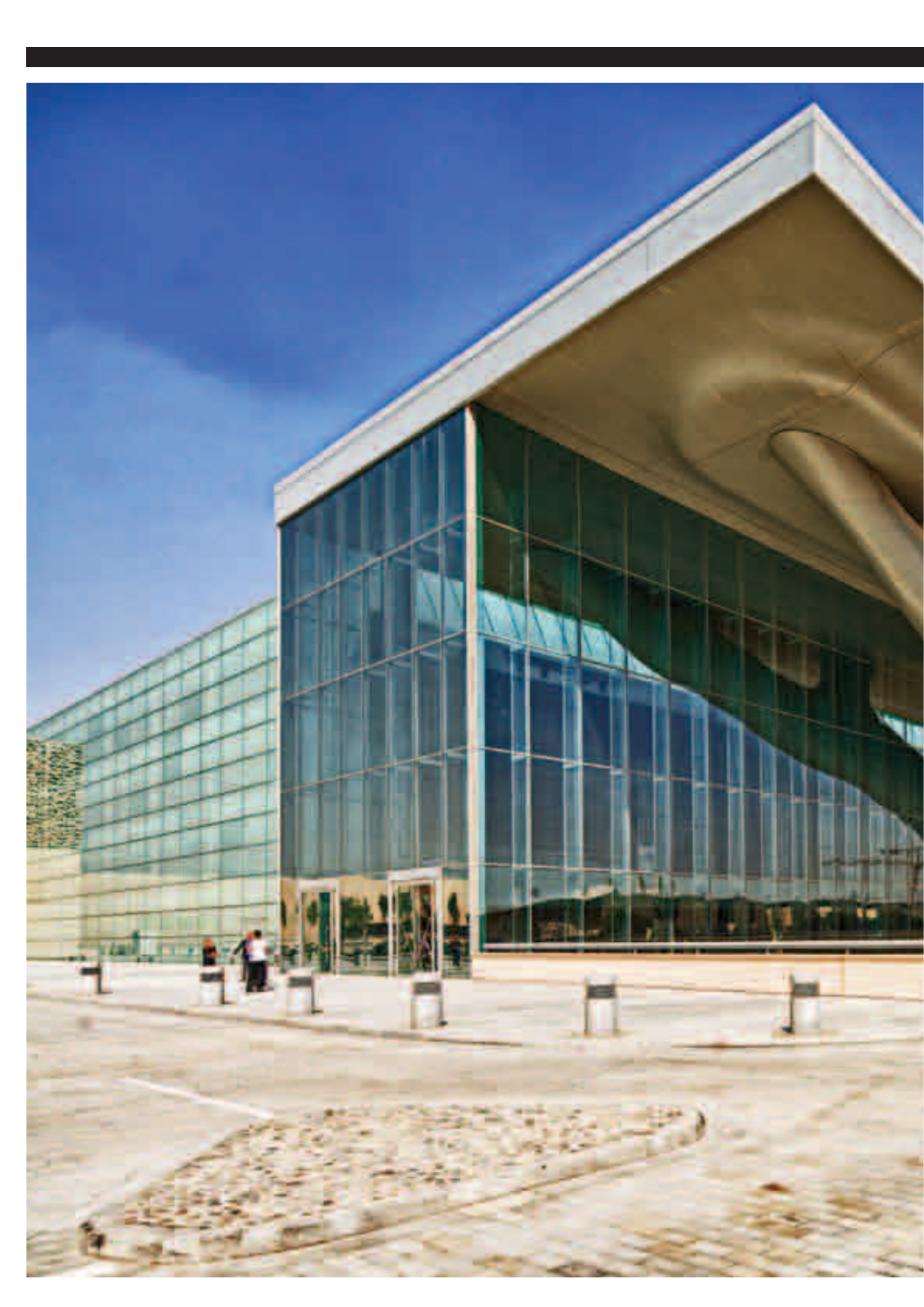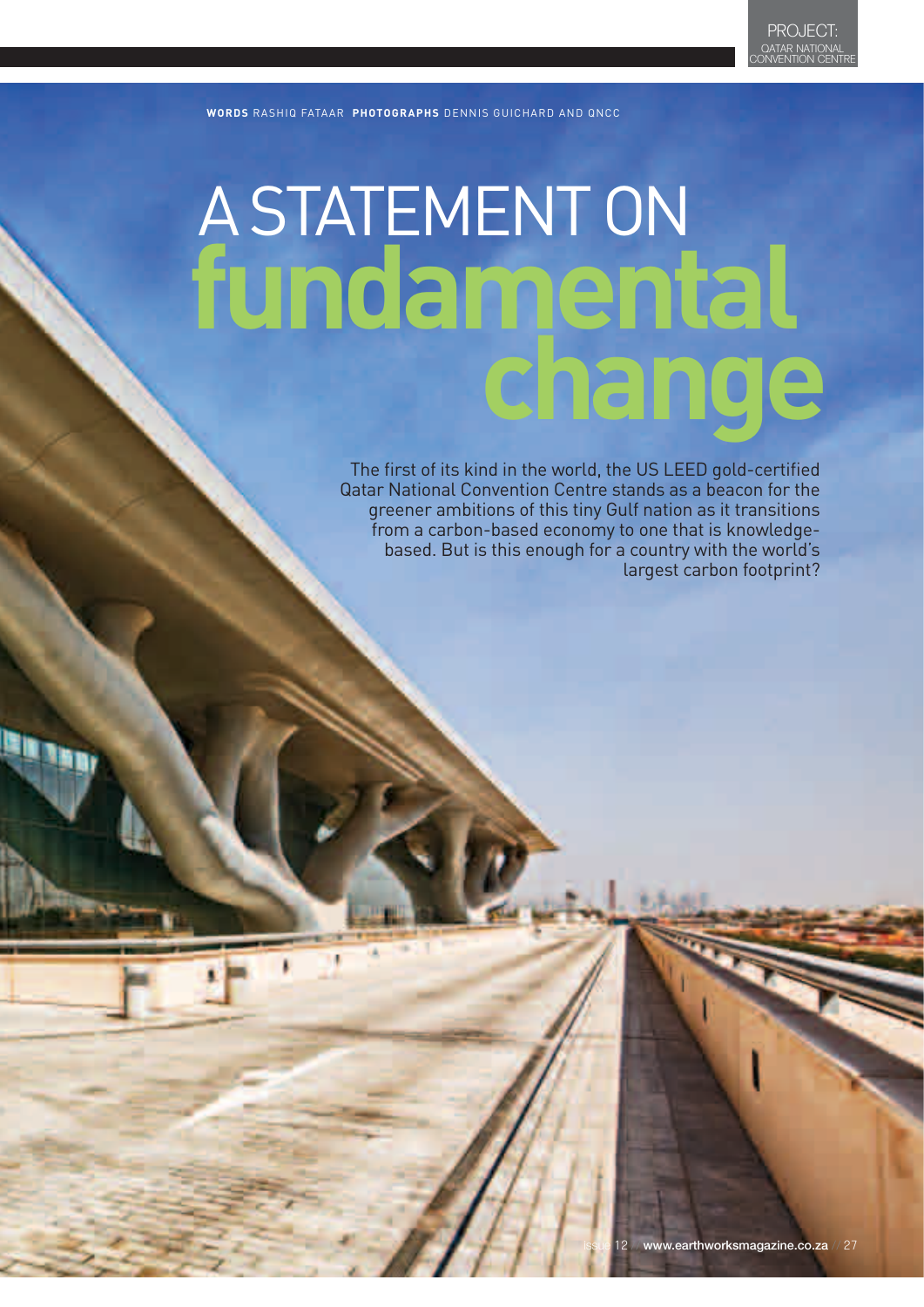# **fundamental change** A STATEMENT ON

 The first of its kind in the world, the US LEED gold-certified Qatar National Convention Centre stands as a beacon for the greener ambitions of this tiny Gulf nation as it transitions from a carbon-based economy to one that is knowledgebased. But is this enough for a country with the world's largest carbon footprint?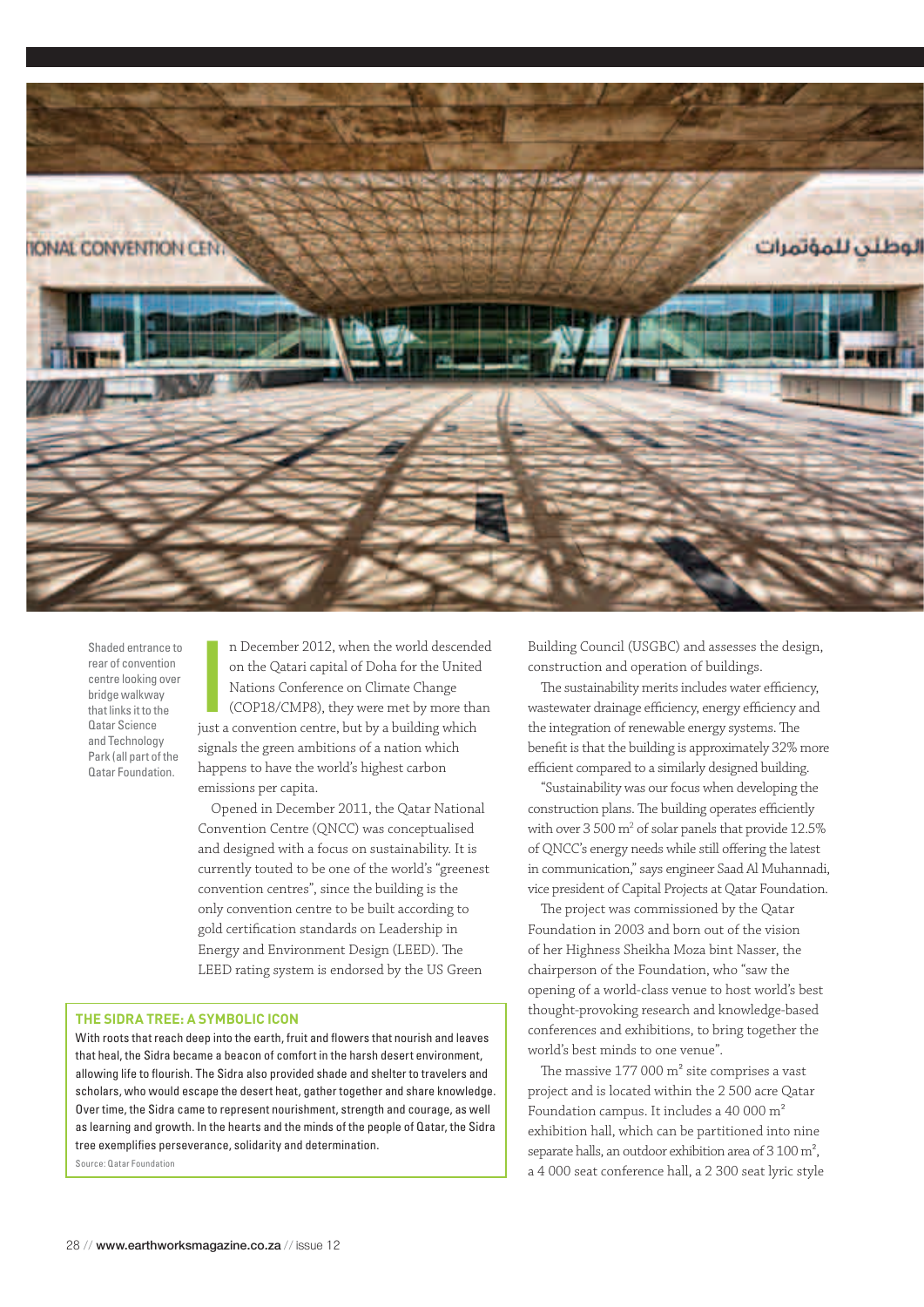

Shaded entrance to rear of convention centre looking over bridge walkway that links it to the Qatar Science and Technology Park (all part of the Qatar Foundation.

n December 2012, when the world descend<br>on the Qatari capital of Doha for the United<br>Nations Conference on Climate Change<br>(COP18/CMP8), they were met by more tha<br>just a convention centre, but by a building which n December 2012, when the world descended on the Qatari capital of Doha for the United Nations Conference on Climate Change (COP18/CMP8), they were met by more than signals the green ambitions of a nation which happens to have the world's highest carbon emissions per capita.

Opened in December 2011, the Qatar National Convention Centre (QNCC) was conceptualised and designed with a focus on sustainability. It is currently touted to be one of the world's "greenest convention centres", since the building is the only convention centre to be built according to gold certification standards on Leadership in Energy and Environment Design (LEED). The LEED rating system is endorsed by the US Green

#### **THE SIDRA TREE: A SYMBOLIC ICON**

With roots that reach deep into the earth, fruit and flowers that nourish and leaves that heal, the Sidra became a beacon of comfort in the harsh desert environment, allowing life to flourish. The Sidra also provided shade and shelter to travelers and scholars, who would escape the desert heat, gather together and share knowledge. Over time, the Sidra came to represent nourishment, strength and courage, as well as learning and growth. In the hearts and the minds of the people of Qatar, the Sidra tree exemplifies perseverance, solidarity and determination. Source: Qatar Foundation

Building Council (USGBC) and assesses the design, construction and operation of buildings.

The sustainability merits includes water efficiency, wastewater drainage efficiency, energy efficiency and the integration of renewable energy systems. The benefit is that the building is approximately 32% more efficient compared to a similarly designed building.

"Sustainability was our focus when developing the construction plans. The building operates efficiently with over  $3500 \text{ m}^2$  of solar panels that provide  $12.5\%$ of QNCC's energy needs while still offering the latest in communication," says engineer Saad Al Muhannadi, vice president of Capital Projects at Qatar Foundation.

The project was commissioned by the Qatar Foundation in 2003 and born out of the vision of her Highness Sheikha Moza bint Nasser, the chairperson of the Foundation, who "saw the opening of a world-class venue to host world's best thought-provoking research and knowledge-based conferences and exhibitions, to bring together the world's best minds to one venue".

The massive 177 000 m² site comprises a vast project and is located within the 2 500 acre Qatar Foundation campus. It includes a 40 000 m² exhibition hall, which can be partitioned into nine separate halls, an outdoor exhibition area of 3 100 m², a 4 000 seat conference hall, a 2 300 seat lyric style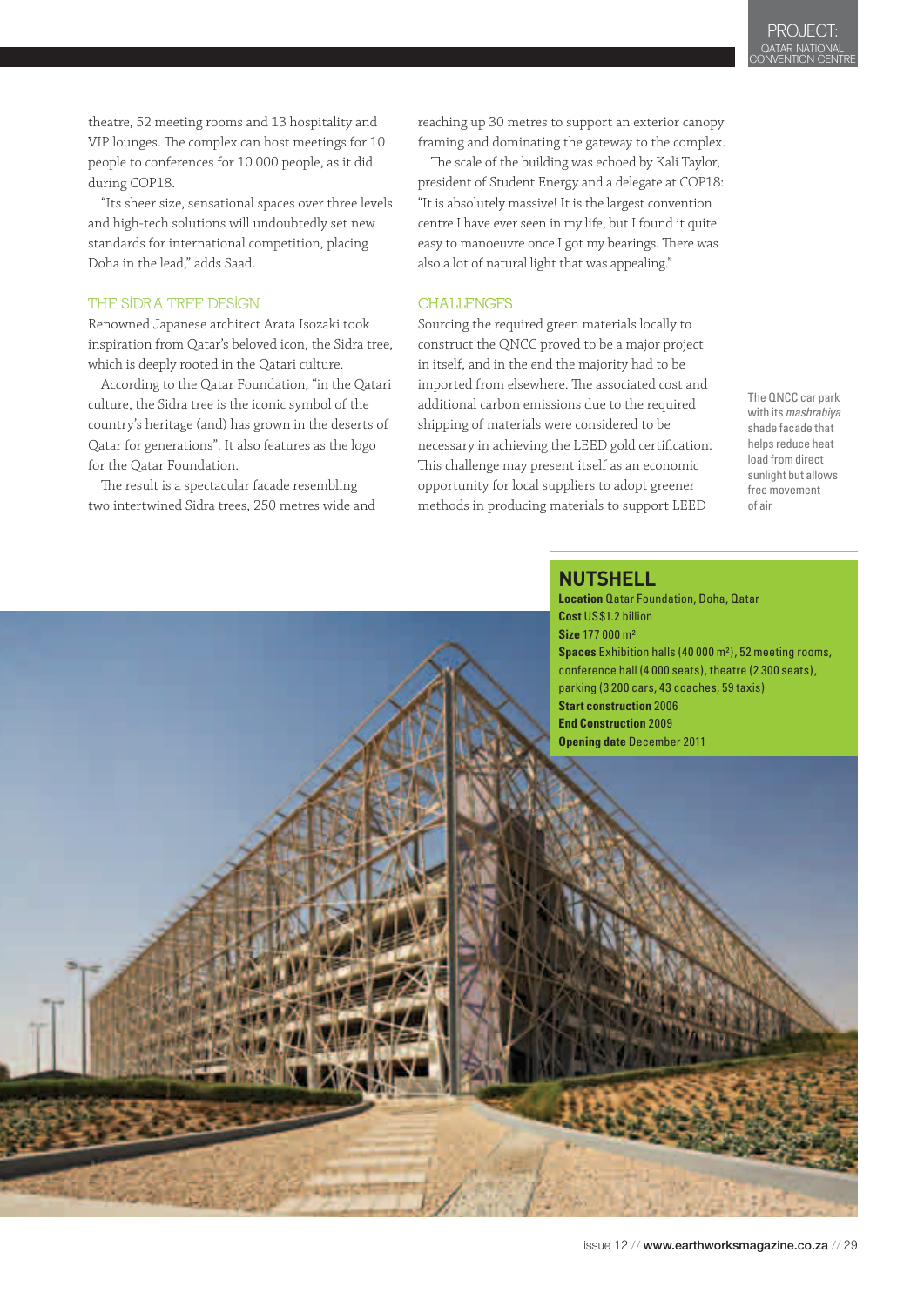theatre, 52 meeting rooms and 13 hospitality and VIP lounges. The complex can host meetings for 10 people to conferences for 10 000 people, as it did during COP18.

"Its sheer size, sensational spaces over three levels and high-tech solutions will undoubtedly set new standards for international competition, placing Doha in the lead," adds Saad.

# **The Sidra tree design**

Renowned Japanese architect Arata Isozaki took inspiration from Qatar's beloved icon, the Sidra tree, which is deeply rooted in the Qatari culture.

According to the Qatar Foundation, "in the Qatari culture, the Sidra tree is the iconic symbol of the country's heritage (and) has grown in the deserts of Qatar for generations". It also features as the logo for the Qatar Foundation.

The result is a spectacular facade resembling two intertwined Sidra trees, 250 metres wide and reaching up 30 metres to support an exterior canopy framing and dominating the gateway to the complex.

The scale of the building was echoed by Kali Taylor, president of Student Energy and a delegate at COP18: "It is absolutely massive! It is the largest convention centre I have ever seen in my life, but I found it quite easy to manoeuvre once I got my bearings. There was also a lot of natural light that was appealing."

#### **Challenges**

Sourcing the required green materials locally to construct the QNCC proved to be a major project in itself, and in the end the majority had to be imported from elsewhere. The associated cost and additional carbon emissions due to the required shipping of materials were considered to be necessary in achieving the LEED gold certification. This challenge may present itself as an economic opportunity for local suppliers to adopt greener methods in producing materials to support LEED

The QNCC car park with its *mashrabiya*  shade facade that helps reduce heat load from direct sunlight but allows free movement of air

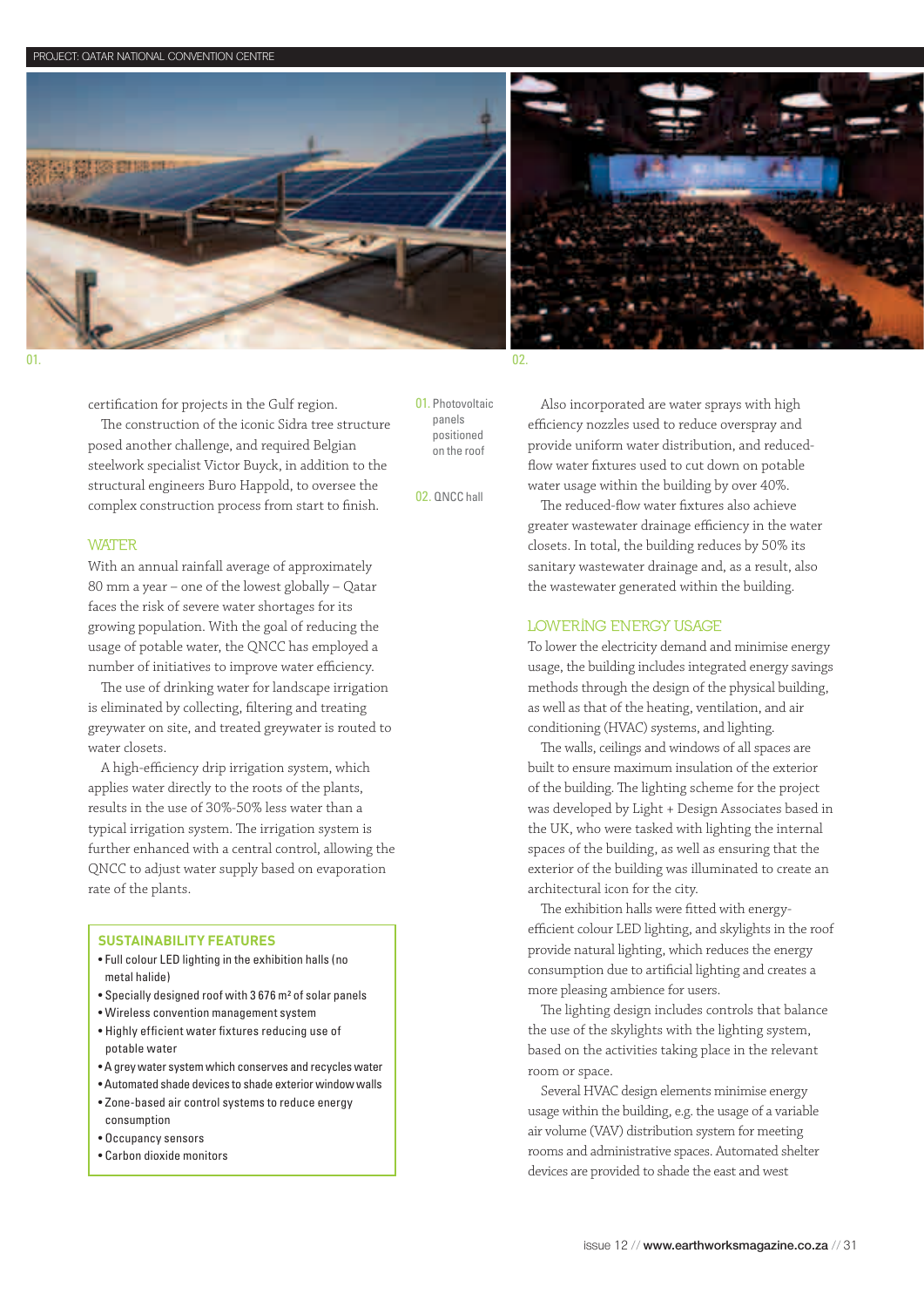#### project: qatar national convention centre







certification for projects in the Gulf region.

The construction of the iconic Sidra tree structure posed another challenge, and required Belgian steelwork specialist Victor Buyck, in addition to the structural engineers Buro Happold, to oversee the complex construction process from start to finish.

01. Photovoltaic panels positioned on the roof

02. QNCC hall

## **WATER**

With an annual rainfall average of approximately 80 mm a year – one of the lowest globally – Qatar faces the risk of severe water shortages for its growing population. With the goal of reducing the usage of potable water, the QNCC has employed a number of initiatives to improve water efficiency.

The use of drinking water for landscape irrigation is eliminated by collecting, filtering and treating greywater on site, and treated greywater is routed to water closets.

A high-efficiency drip irrigation system, which applies water directly to the roots of the plants, results in the use of 30%-50% less water than a typical irrigation system. The irrigation system is further enhanced with a central control, allowing the QNCC to adjust water supply based on evaporation rate of the plants.

## **Sustainability features**

- Full colour LED lighting in the exhibition halls (no metal halide)
- Specially designed roof with 3 676 m² of solar panels
- Wireless convention management system
- Highly efficient water fixtures reducing use of potable water
- A grey water system which conserves and recycles water
- Automated shade devices to shade exterior window walls • Zone-based air control systems to reduce energy consumption
- Occupancy sensors
- Carbon dioxide monitors

efficiency nozzles used to reduce overspray and provide uniform water distribution, and reducedflow water fixtures used to cut down on potable water usage within the building by over 40%.

Also incorporated are water sprays with high

The reduced-flow water fixtures also achieve greater wastewater drainage efficiency in the water closets. In total, the building reduces by 50% its sanitary wastewater drainage and, as a result, also the wastewater generated within the building.

#### **Lowering energy usage**

To lower the electricity demand and minimise energy usage, the building includes integrated energy savings methods through the design of the physical building, as well as that of the heating, ventilation, and air conditioning (HVAC) systems, and lighting.

The walls, ceilings and windows of all spaces are built to ensure maximum insulation of the exterior of the building. The lighting scheme for the project was developed by Light + Design Associates based in the UK, who were tasked with lighting the internal spaces of the building, as well as ensuring that the exterior of the building was illuminated to create an architectural icon for the city.

The exhibition halls were fitted with energyefficient colour LED lighting, and skylights in the roof provide natural lighting, which reduces the energy consumption due to artificial lighting and creates a more pleasing ambience for users.

The lighting design includes controls that balance the use of the skylights with the lighting system, based on the activities taking place in the relevant room or space.

Several HVAC design elements minimise energy usage within the building, e.g. the usage of a variable air volume (VAV) distribution system for meeting rooms and administrative spaces. Automated shelter devices are provided to shade the east and west